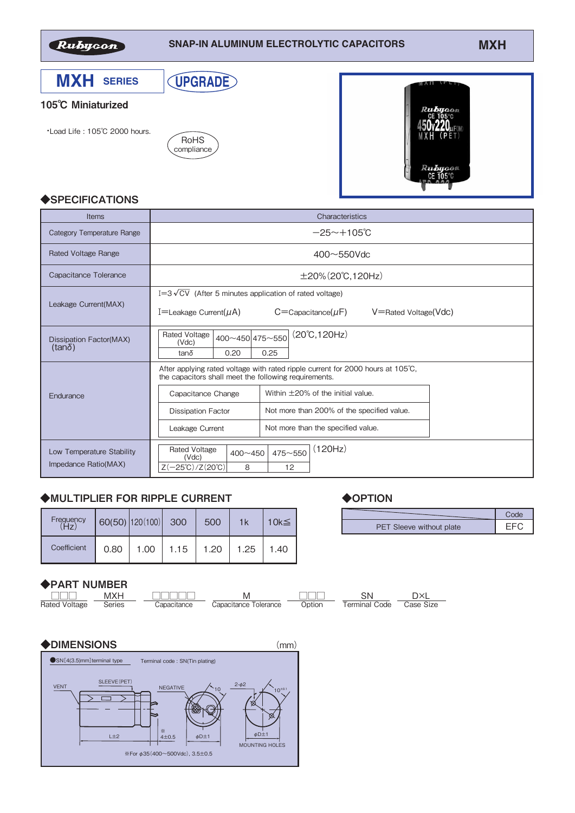

### **SNAP-IN ALUMINUM ELECTROLYTIC CAPACITORS MXH**



| <b>Items</b>                                      | Characteristics                                                                                                                                     |  |  |  |  |  |  |  |  |
|---------------------------------------------------|-----------------------------------------------------------------------------------------------------------------------------------------------------|--|--|--|--|--|--|--|--|
| <b>Category Temperature Range</b>                 | $-25 \sim +105$ °C                                                                                                                                  |  |  |  |  |  |  |  |  |
| <b>Rated Voltage Range</b>                        | $400 \sim 550$ Vdc                                                                                                                                  |  |  |  |  |  |  |  |  |
| Capacitance Tolerance                             | $\pm 20\%$ (20°C, 120Hz)                                                                                                                            |  |  |  |  |  |  |  |  |
| Leakage Current(MAX)                              | $I=3\sqrt{CV}$ (After 5 minutes application of rated voltage)<br>I=Leakage Current( $\mu$ A)<br>$C =$ Capacitance( $\mu$ F)<br>V=Rated Voltage(Vdc) |  |  |  |  |  |  |  |  |
| Dissipation Factor(MAX)<br>$(tan\delta)$          | $(20^{\circ}C, 120Hz)$<br><b>Rated Voltage</b><br>400~450 475~550<br>(Vdc)<br>tanδ<br>0.20<br>0.25                                                  |  |  |  |  |  |  |  |  |
|                                                   | After applying rated voltage with rated ripple current for 2000 hours at 105 $\degree$ C.<br>the capacitors shall meet the following requirements.  |  |  |  |  |  |  |  |  |
| Endurance                                         | Within $\pm$ 20% of the initial value.<br>Capacitance Change                                                                                        |  |  |  |  |  |  |  |  |
|                                                   | Not more than 200% of the specified value.<br><b>Dissipation Factor</b>                                                                             |  |  |  |  |  |  |  |  |
|                                                   | Not more than the specified value.<br>Leakage Current                                                                                               |  |  |  |  |  |  |  |  |
| Low Temperature Stability<br>Impedance Ratio(MAX) | (120Hz)<br><b>Rated Voltage</b><br>$475 - 550$<br>$400 - 450$<br>(Vdc)<br>$Z(-25^{\circ}C)/Z(20^{\circ}C)$<br>8<br>12                               |  |  |  |  |  |  |  |  |

# ◆MULTIPLIER FOR RIPPLE CURRENT

| Frequency   |      | $60(50)$   120(100)   300 |      | 500  | 1k   | 10 $k$ $≤$ |
|-------------|------|---------------------------|------|------|------|------------|
| Coefficient | 0.80 | 1.00                      | 1.15 | 1.20 | 1.25 | 1.40       |

### ◆PART NUMBER





# ◆**OPTION**

| PET Sleeve without plate |  |
|--------------------------|--|
|                          |  |